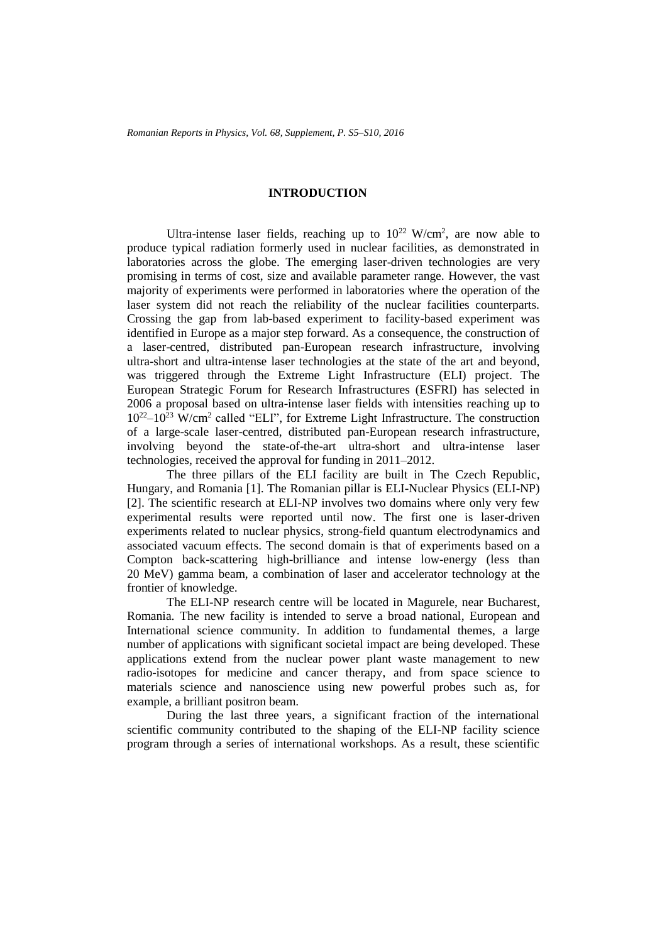## **INTRODUCTION**

Ultra-intense laser fields, reaching up to  $10^{22}$  W/cm<sup>2</sup>, are now able to produce typical radiation formerly used in nuclear facilities, as demonstrated in laboratories across the globe. The emerging laser-driven technologies are very promising in terms of cost, size and available parameter range. However, the vast majority of experiments were performed in laboratories where the operation of the laser system did not reach the reliability of the nuclear facilities counterparts. Crossing the gap from lab-based experiment to facility-based experiment was identified in Europe as a major step forward. As a consequence, the construction of a laser-centred, distributed pan-European research infrastructure, involving ultra-short and ultra-intense laser technologies at the state of the art and beyond, was triggered through the Extreme Light Infrastructure (ELI) project. The European Strategic Forum for Research Infrastructures (ESFRI) has selected in 2006 a proposal based on ultra-intense laser fields with intensities reaching up to 10<sup>22</sup>–10 <sup>23</sup> W/cm<sup>2</sup> called "ELI", for Extreme Light Infrastructure. The construction of a large-scale laser-centred, distributed pan-European research infrastructure, involving beyond the state-of-the-art ultra-short and ultra-intense laser technologies, received the approval for funding in 2011–2012.

The three pillars of the ELI facility are built in The Czech Republic, Hungary, and Romania [1]. The Romanian pillar is ELI-Nuclear Physics (ELI-NP) [2]. The scientific research at ELI-NP involves two domains where only very few experimental results were reported until now. The first one is laser-driven experiments related to nuclear physics, strong-field quantum electrodynamics and associated vacuum effects. The second domain is that of experiments based on a Compton back-scattering high-brilliance and intense low-energy (less than 20 MeV) gamma beam, a combination of laser and accelerator technology at the frontier of knowledge.

The ELI-NP research centre will be located in Magurele, near Bucharest, Romania. The new facility is intended to serve a broad national, European and International science community. In addition to fundamental themes, a large number of applications with significant societal impact are being developed. These applications extend from the nuclear power plant waste management to new radio-isotopes for medicine and cancer therapy, and from space science to materials science and nanoscience using new powerful probes such as, for example, a brilliant positron beam.

During the last three years, a significant fraction of the international scientific community contributed to the shaping of the ELI-NP facility science program through a series of international workshops. As a result, these scientific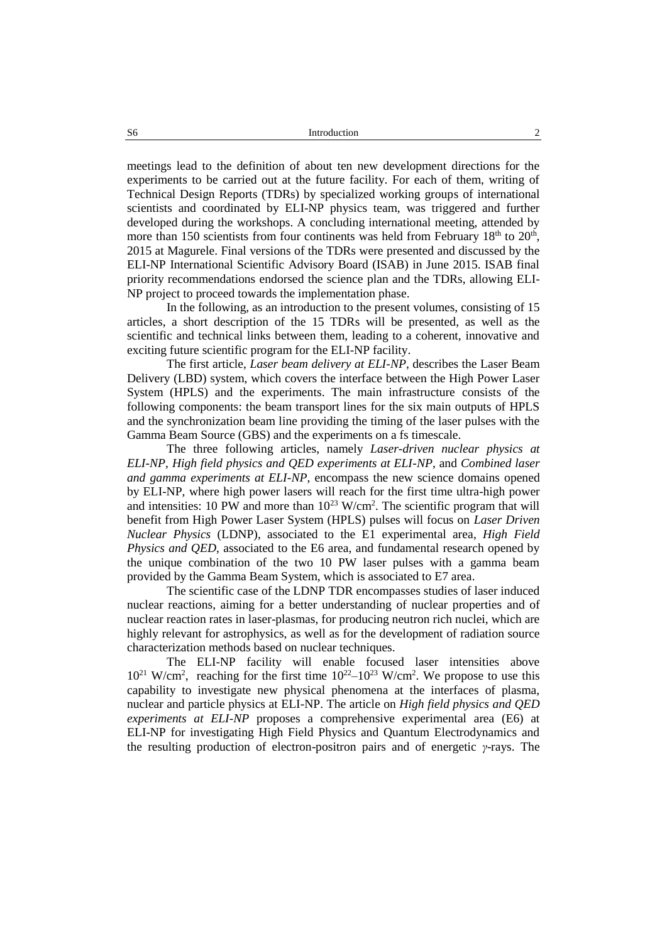meetings lead to the definition of about ten new development directions for the experiments to be carried out at the future facility. For each of them, writing of Technical Design Reports (TDRs) by specialized working groups of international scientists and coordinated by ELI-NP physics team, was triggered and further developed during the workshops. A concluding international meeting, attended by more than 150 scientists from four continents was held from February  $18<sup>th</sup>$  to  $20<sup>th</sup>$ , 2015 at Magurele. Final versions of the TDRs were presented and discussed by the ELI-NP International Scientific Advisory Board (ISAB) in June 2015. ISAB final priority recommendations endorsed the science plan and the TDRs, allowing ELI-NP project to proceed towards the implementation phase.

In the following, as an introduction to the present volumes, consisting of 15 articles, a short description of the 15 TDRs will be presented, as well as the scientific and technical links between them, leading to a coherent, innovative and exciting future scientific program for the ELI-NP facility.

The first article, *Laser beam delivery at ELI-NP*, describes the Laser Beam Delivery (LBD) system, which covers the interface between the High Power Laser System (HPLS) and the experiments. The main infrastructure consists of the following components: the beam transport lines for the six main outputs of HPLS and the synchronization beam line providing the timing of the laser pulses with the Gamma Beam Source (GBS) and the experiments on a fs timescale.

The three following articles, namely *Laser-driven nuclear physics at ELI-NP*, *High field physics and QED experiments at ELI-NP*, and *Combined laser and gamma experiments at ELI-NP*, encompass the new science domains opened by ELI-NP, where high power lasers will reach for the first time ultra-high power and intensities: 10 PW and more than  $10^{23}$  W/cm<sup>2</sup>. The scientific program that will benefit from High Power Laser System (HPLS) pulses will focus on *Laser Driven Nuclear Physics* (LDNP), associated to the E1 experimental area, *High Field Physics and QED*, associated to the E6 area, and fundamental research opened by the unique combination of the two 10 PW laser pulses with a gamma beam provided by the Gamma Beam System, which is associated to E7 area.

The scientific case of the LDNP TDR encompasses studies of laser induced nuclear reactions, aiming for a better understanding of nuclear properties and of nuclear reaction rates in laser-plasmas, for producing neutron rich nuclei, which are highly relevant for astrophysics, as well as for the development of radiation source characterization methods based on nuclear techniques.

The ELI-NP facility will enable focused laser intensities above  $10^{21}$  W/cm<sup>2</sup>, reaching for the first time  $10^{22}$ – $10^{23}$  W/cm<sup>2</sup>. We propose to use this capability to investigate new physical phenomena at the interfaces of plasma, nuclear and particle physics at ELI-NP. The article on *High field physics and QED experiments at ELI-NP* proposes a comprehensive experimental area (E6) at ELI-NP for investigating High Field Physics and Quantum Electrodynamics and the resulting production of electron-positron pairs and of energetic *γ*-rays. The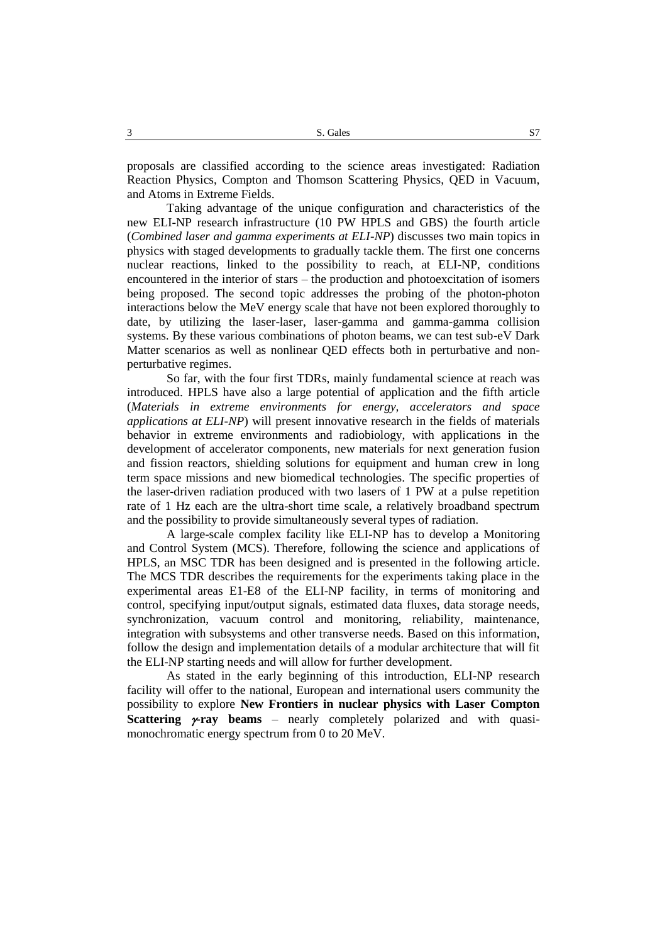proposals are classified according to the science areas investigated: Radiation Reaction Physics, Compton and Thomson Scattering Physics, QED in Vacuum, and Atoms in Extreme Fields.

Taking advantage of the unique configuration and characteristics of the new ELI-NP research infrastructure (10 PW HPLS and GBS) the fourth article (*Combined laser and gamma experiments at ELI-NP*) discusses two main topics in physics with staged developments to gradually tackle them. The first one concerns nuclear reactions, linked to the possibility to reach, at ELI-NP, conditions encountered in the interior of stars – the production and photoexcitation of isomers being proposed. The second topic addresses the probing of the photon-photon interactions below the MeV energy scale that have not been explored thoroughly to date, by utilizing the laser-laser, laser-gamma and gamma-gamma collision systems. By these various combinations of photon beams, we can test sub-eV Dark Matter scenarios as well as nonlinear QED effects both in perturbative and nonperturbative regimes.

So far, with the four first TDRs, mainly fundamental science at reach was introduced. HPLS have also a large potential of application and the fifth article (*Materials in extreme environments for energy, accelerators and space applications at ELI-NP*) will present innovative research in the fields of materials behavior in extreme environments and radiobiology, with applications in the development of accelerator components, new materials for next generation fusion and fission reactors, shielding solutions for equipment and human crew in long term space missions and new biomedical technologies. The specific properties of the laser-driven radiation produced with two lasers of 1 PW at a pulse repetition rate of 1 Hz each are the ultra-short time scale, a relatively broadband spectrum and the possibility to provide simultaneously several types of radiation.

A large-scale complex facility like ELI-NP has to develop a Monitoring and Control System (MCS). Therefore, following the science and applications of HPLS, an MSC TDR has been designed and is presented in the following article. The MCS TDR describes the requirements for the experiments taking place in the experimental areas E1-E8 of the ELI-NP facility, in terms of monitoring and control, specifying input/output signals, estimated data fluxes, data storage needs, synchronization, vacuum control and monitoring, reliability, maintenance, integration with subsystems and other transverse needs. Based on this information, follow the design and implementation details of a modular architecture that will fit the ELI-NP starting needs and will allow for further development.

As stated in the early beginning of this introduction, ELI-NP research facility will offer to the national, European and international users community the possibility to explore **New Frontiers in nuclear physics with Laser Compton Scattering**  $\nu$ **ray beams** – nearly completely polarized and with quasimonochromatic energy spectrum from 0 to 20 MeV.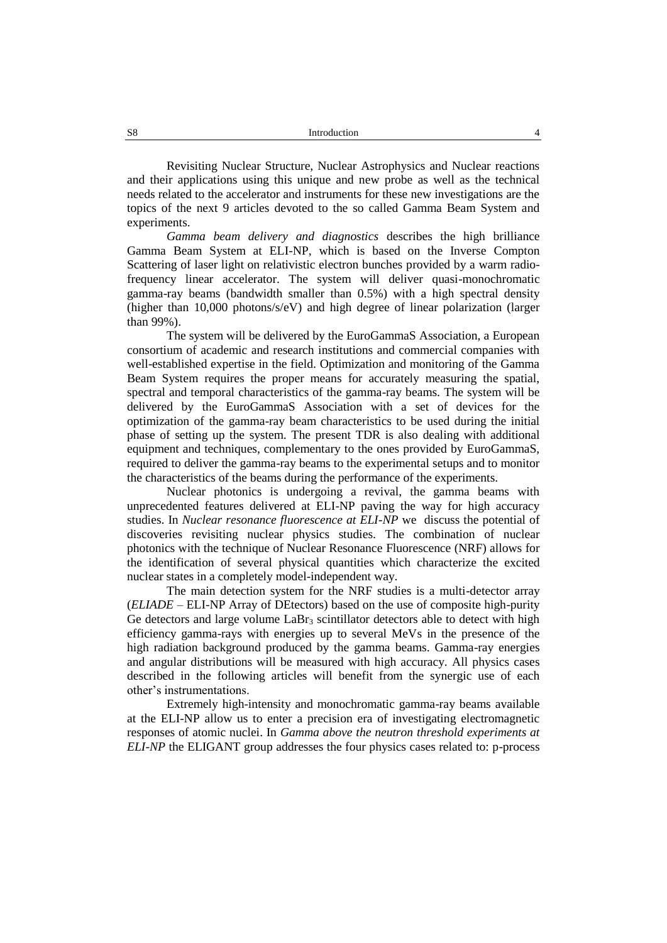Revisiting Nuclear Structure, Nuclear Astrophysics and Nuclear reactions and their applications using this unique and new probe as well as the technical needs related to the accelerator and instruments for these new investigations are the topics of the next 9 articles devoted to the so called Gamma Beam System and experiments.

*Gamma beam delivery and diagnostics* describes the high brilliance Gamma Beam System at ELI-NP, which is based on the Inverse Compton Scattering of laser light on relativistic electron bunches provided by a warm radiofrequency linear accelerator. The system will deliver quasi-monochromatic gamma-ray beams (bandwidth smaller than 0.5%) with a high spectral density (higher than 10,000 photons/s/eV) and high degree of linear polarization (larger than 99%).

The system will be delivered by the EuroGammaS Association, a European consortium of academic and research institutions and commercial companies with well-established expertise in the field. Optimization and monitoring of the Gamma Beam System requires the proper means for accurately measuring the spatial, spectral and temporal characteristics of the gamma-ray beams. The system will be delivered by the EuroGammaS Association with a set of devices for the optimization of the gamma-ray beam characteristics to be used during the initial phase of setting up the system. The present TDR is also dealing with additional equipment and techniques, complementary to the ones provided by EuroGammaS, required to deliver the gamma-ray beams to the experimental setups and to monitor the characteristics of the beams during the performance of the experiments.

Nuclear photonics is undergoing a revival, the gamma beams with unprecedented features delivered at ELI-NP paving the way for high accuracy studies. In *Nuclear resonance fluorescence at ELI-NP* we discuss the potential of discoveries revisiting nuclear physics studies. The combination of nuclear photonics with the technique of Nuclear Resonance Fluorescence (NRF) allows for the identification of several physical quantities which characterize the excited nuclear states in a completely model-independent way.

The main detection system for the NRF studies is a multi-detector array (*ELIADE* – ELI-NP Array of DEtectors) based on the use of composite high-purity Ge detectors and large volume  $LaBr<sub>3</sub>$  scintillator detectors able to detect with high efficiency gamma-rays with energies up to several MeVs in the presence of the high radiation background produced by the gamma beams. Gamma-ray energies and angular distributions will be measured with high accuracy. All physics cases described in the following articles will benefit from the synergic use of each other's instrumentations.

Extremely high-intensity and monochromatic gamma-ray beams available at the ELI-NP allow us to enter a precision era of investigating electromagnetic responses of atomic nuclei. In *Gamma above the neutron threshold experiments at ELI-NP* the ELIGANT group addresses the four physics cases related to: p-process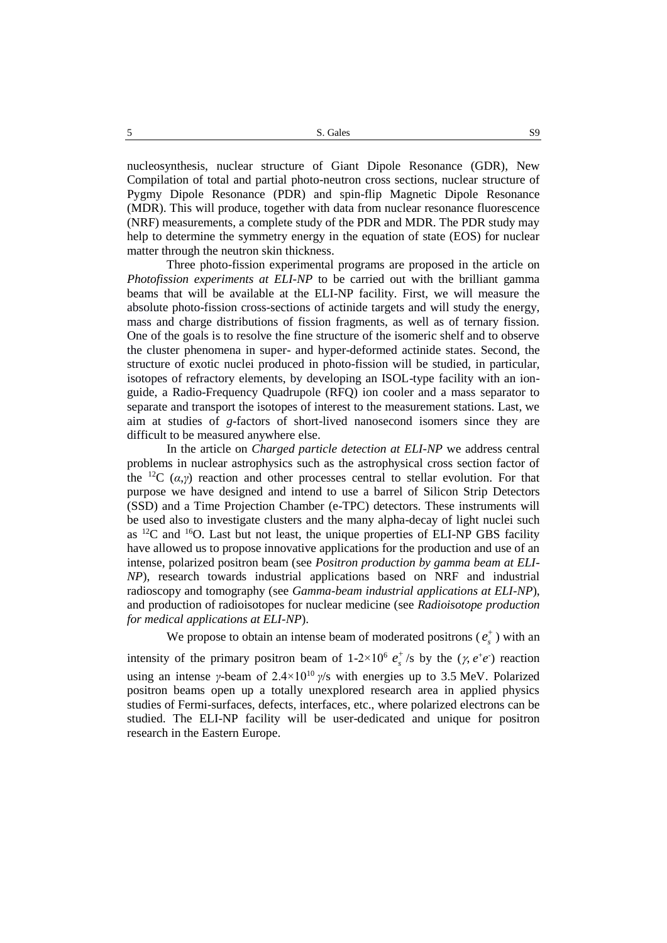nucleosynthesis, nuclear structure of Giant Dipole Resonance (GDR), New Compilation of total and partial photo-neutron cross sections, nuclear structure of Pygmy Dipole Resonance (PDR) and spin-flip Magnetic Dipole Resonance (MDR). This will produce, together with data from nuclear resonance fluorescence (NRF) measurements, a complete study of the PDR and MDR. The PDR study may help to determine the symmetry energy in the equation of state (EOS) for nuclear matter through the neutron skin thickness.

Three photo-fission experimental programs are proposed in the article on *Photofission experiments at ELI-NP* to be carried out with the brilliant gamma beams that will be available at the ELI-NP facility. First, we will measure the absolute photo-fission cross-sections of actinide targets and will study the energy, mass and charge distributions of fission fragments, as well as of ternary fission. One of the goals is to resolve the fine structure of the isomeric shelf and to observe the cluster phenomena in super- and hyper-deformed actinide states. Second, the structure of exotic nuclei produced in photo-fission will be studied, in particular, isotopes of refractory elements, by developing an ISOL-type facility with an ionguide, a Radio-Frequency Quadrupole (RFQ) ion cooler and a mass separator to separate and transport the isotopes of interest to the measurement stations. Last, we aim at studies of *g*-factors of short-lived nanosecond isomers since they are difficult to be measured anywhere else.

In the article on *Charged particle detection at ELI-NP* we address central problems in nuclear astrophysics such as the astrophysical cross section factor of the <sup>12</sup>C  $(\alpha, \gamma)$  reaction and other processes central to stellar evolution. For that purpose we have designed and intend to use a barrel of Silicon Strip Detectors (SSD) and a Time Projection Chamber (e-TPC) detectors. These instruments will be used also to investigate clusters and the many alpha-decay of light nuclei such as  $12^{\circ}$ C and  $16^{\circ}$ O. Last but not least, the unique properties of ELI-NP GBS facility have allowed us to propose innovative applications for the production and use of an intense, polarized positron beam (see *Positron production by gamma beam at ELI-NP*), research towards industrial applications based on NRF and industrial radioscopy and tomography (see *Gamma-beam industrial applications at ELI-NP*), and production of radioisotopes for nuclear medicine (see *Radioisotope production for medical applications at ELI-NP*).

We propose to obtain an intense beam of moderated positrons ( $e_s^+$  $e_s^{\dagger}$ ) with an

intensity of the primary positron beam of 1-2×10<sup>6</sup>  $e_s^+$  $e_s^+$ /s by the  $(\gamma, e^+e^-)$  reaction using an intense *γ*-beam of  $2.4 \times 10^{10}$  *γ/s* with energies up to 3.5 MeV. Polarized positron beams open up a totally unexplored research area in applied physics studies of Fermi-surfaces, defects, interfaces, etc., where polarized electrons can be studied. The ELI-NP facility will be user-dedicated and unique for positron research in the Eastern Europe.